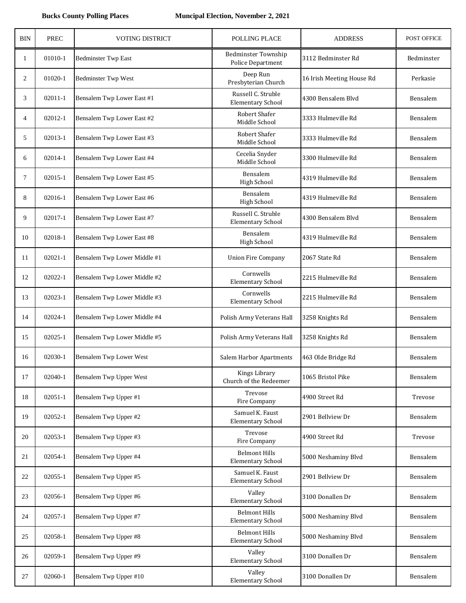| <b>BIN</b> | <b>PREC</b> | <b>VOTING DISTRICT</b>         | POLLING PLACE                                    | <b>ADDRESS</b>            | POST OFFICE |
|------------|-------------|--------------------------------|--------------------------------------------------|---------------------------|-------------|
| 1          | 01010-1     | <b>Bedminster Twp East</b>     | <b>Bedminster Township</b><br>Police Department  | 3112 Bedminster Rd        | Bedminster  |
| 2          | 01020-1     | <b>Bedminster Twp West</b>     | Deep Run<br>Presbyterian Church                  | 16 Irish Meeting House Rd | Perkasie    |
| 3          | $02011 - 1$ | Bensalem Twp Lower East #1     | Russell C. Struble<br><b>Elementary School</b>   | 4300 Bensalem Blvd        | Bensalem    |
| 4          | 02012-1     | Bensalem Twp Lower East #2     | Robert Shafer<br>Middle School                   | 3333 Hulmeville Rd        | Bensalem    |
| 5          | 02013-1     | Bensalem Twp Lower East #3     | Robert Shafer<br>Middle School                   | 3333 Hulmeville Rd        | Bensalem    |
| 6          | 02014-1     | Bensalem Twp Lower East #4     | Cecelia Snyder<br>Middle School                  | 3300 Hulmeville Rd        | Bensalem    |
| $\tau$     | 02015-1     | Bensalem Twp Lower East #5     | Bensalem<br><b>High School</b>                   | 4319 Hulmeville Rd        | Bensalem    |
| 8          | 02016-1     | Bensalem Twp Lower East #6     | Bensalem<br><b>High School</b>                   | 4319 Hulmeville Rd        | Bensalem    |
| 9          | 02017-1     | Bensalem Twp Lower East #7     | Russell C. Struble<br><b>Elementary School</b>   | 4300 Bensalem Blvd        | Bensalem    |
| 10         | 02018-1     | Bensalem Twp Lower East #8     | Bensalem<br><b>High School</b>                   | 4319 Hulmeville Rd        | Bensalem    |
| 11         | $02021 - 1$ | Bensalem Twp Lower Middle #1   | <b>Union Fire Company</b>                        | 2067 State Rd             | Bensalem    |
| 12         | 02022-1     | Bensalem Twp Lower Middle #2   | Cornwells<br><b>Elementary School</b>            | 2215 Hulmeville Rd        | Bensalem    |
| 13         | 02023-1     | Bensalem Twp Lower Middle #3   | Cornwells<br><b>Elementary School</b>            | 2215 Hulmeville Rd        | Bensalem    |
| 14         | 02024-1     | Bensalem Twp Lower Middle #4   | Polish Army Veterans Hall                        | 3258 Knights Rd           | Bensalem    |
| 15         | $02025 - 1$ | Bensalem Twp Lower Middle #5   | Polish Army Veterans Hall                        | 3258 Knights Rd           | Bensalem    |
| 16         | 02030-1     | <b>Bensalem Twp Lower West</b> | Salem Harbor Apartments                          | 463 Olde Bridge Rd        | Bensalem    |
| 17         | 02040-1     | Bensalem Twp Upper West        | Kings Library<br>Church of the Redeemer          | 1065 Bristol Pike         | Bensalem    |
| 18         | $02051 - 1$ | Bensalem Twp Upper #1          | Trevose<br>Fire Company                          | 4900 Street Rd            | Trevose     |
| 19         | 02052-1     | Bensalem Twp Upper #2          | Samuel K. Faust<br><b>Elementary School</b>      | 2901 Bellview Dr          | Bensalem    |
| 20         | 02053-1     | Bensalem Twp Upper #3          | Trevose<br>Fire Company                          | 4900 Street Rd            | Trevose     |
| 21         | 02054-1     | Bensalem Twp Upper #4          | <b>Belmont Hills</b><br><b>Elementary School</b> | 5000 Neshaminy Blvd       | Bensalem    |
| 22         | 02055-1     | Bensalem Twp Upper #5          | Samuel K. Faust<br><b>Elementary School</b>      | 2901 Bellview Dr          | Bensalem    |
| 23         | 02056-1     | Bensalem Twp Upper #6          | Valley<br><b>Elementary School</b>               | 3100 Donallen Dr          | Bensalem    |
| 24         | 02057-1     | Bensalem Twp Upper #7          | <b>Belmont Hills</b><br><b>Elementary School</b> | 5000 Neshaminy Blvd       | Bensalem    |
| 25         | 02058-1     | Bensalem Twp Upper #8          | <b>Belmont Hills</b><br><b>Elementary School</b> | 5000 Neshaminy Blvd       | Bensalem    |
| 26         | 02059-1     | Bensalem Twp Upper #9          | Valley<br><b>Elementary School</b>               | 3100 Donallen Dr          | Bensalem    |
| 27         | 02060-1     | Bensalem Twp Upper #10         | Valley<br><b>Elementary School</b>               | 3100 Donallen Dr          | Bensalem    |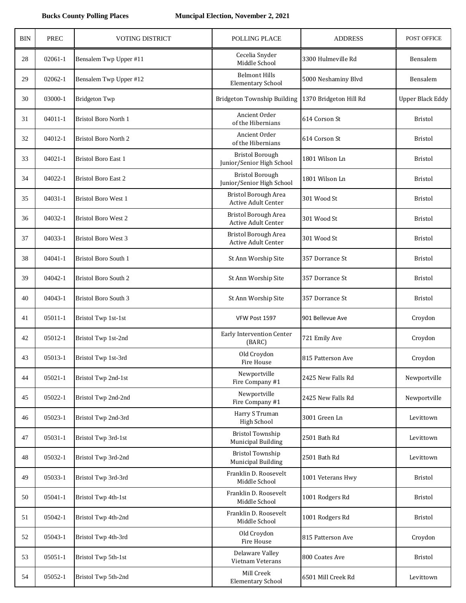| <b>BIN</b> | <b>PREC</b> | <b>VOTING DISTRICT</b>      | POLLING PLACE                                       | <b>ADDRESS</b>         | POST OFFICE             |
|------------|-------------|-----------------------------|-----------------------------------------------------|------------------------|-------------------------|
| 28         | $02061 - 1$ | Bensalem Twp Upper #11      | Cecelia Snyder<br>Middle School                     | 3300 Hulmeville Rd     | Bensalem                |
| 29         | 02062-1     | Bensalem Twp Upper #12      | <b>Belmont Hills</b><br><b>Elementary School</b>    | 5000 Neshaminy Blvd    | Bensalem                |
| 30         | 03000-1     | <b>Bridgeton Twp</b>        | Bridgeton Township Building                         | 1370 Bridgeton Hill Rd | <b>Upper Black Eddy</b> |
| 31         | $04011 - 1$ | <b>Bristol Boro North 1</b> | Ancient Order<br>of the Hibernians                  | 614 Corson St          | <b>Bristol</b>          |
| 32         | $04012 - 1$ | <b>Bristol Boro North 2</b> | Ancient Order<br>of the Hibernians                  | 614 Corson St          | <b>Bristol</b>          |
| 33         | $04021 - 1$ | Bristol Boro East 1         | <b>Bristol Borough</b><br>Junior/Senior High School | 1801 Wilson Ln         | <b>Bristol</b>          |
| 34         | 04022-1     | <b>Bristol Boro East 2</b>  | <b>Bristol Borough</b><br>Junior/Senior High School | 1801 Wilson Ln         | <b>Bristol</b>          |
| 35         | 04031-1     | <b>Bristol Boro West 1</b>  | Bristol Borough Area<br>Active Adult Center         | 301 Wood St            | <b>Bristol</b>          |
| 36         | 04032-1     | Bristol Boro West 2         | Bristol Borough Area<br>Active Adult Center         | 301 Wood St            | <b>Bristol</b>          |
| 37         | 04033-1     | <b>Bristol Boro West 3</b>  | <b>Bristol Borough Area</b><br>Active Adult Center  | 301 Wood St            | <b>Bristol</b>          |
| 38         | $04041 - 1$ | <b>Bristol Boro South 1</b> | St Ann Worship Site                                 | 357 Dorrance St        | <b>Bristol</b>          |
| 39         | 04042-1     | <b>Bristol Boro South 2</b> | St Ann Worship Site                                 | 357 Dorrance St        | <b>Bristol</b>          |
| 40         | 04043-1     | <b>Bristol Boro South 3</b> | St Ann Worship Site                                 | 357 Dorrance St        | <b>Bristol</b>          |
| 41         | 05011-1     | Bristol Twp 1st-1st         | VFW Post 1597                                       | 901 Bellevue Ave       | Croydon                 |
| 42         | 05012-1     | Bristol Twp 1st-2nd         | Early Intervention Center<br>(BARC)                 | 721 Emily Ave          | Croydon                 |
| 43         | 05013-1     | Bristol Twp 1st-3rd         | Old Croydon<br>Fire House                           | 815 Patterson Ave      | Croydon                 |
| 44         | $05021 - 1$ | Bristol Twp 2nd-1st         | Newportville<br>Fire Company #1                     | 2425 New Falls Rd      | Newportville            |
| 45         | 05022-1     | Bristol Twp 2nd-2nd         | Newportville<br>Fire Company #1                     | 2425 New Falls Rd      | Newportville            |
| 46         | 05023-1     | Bristol Twp 2nd-3rd         | Harry S Truman<br><b>High School</b>                | 3001 Green Ln          | Levittown               |
| 47         | 05031-1     | Bristol Twp 3rd-1st         | <b>Bristol Township</b><br>Municipal Building       | 2501 Bath Rd           | Levittown               |
| 48         | 05032-1     | Bristol Twp 3rd-2nd         | <b>Bristol Township</b><br>Municipal Building       | 2501 Bath Rd           | Levittown               |
| 49         | 05033-1     | Bristol Twp 3rd-3rd         | Franklin D. Roosevelt<br>Middle School              | 1001 Veterans Hwy      | Bristol                 |
| 50         | 05041-1     | Bristol Twp 4th-1st         | Franklin D. Roosevelt<br>Middle School              | 1001 Rodgers Rd        | <b>Bristol</b>          |
| 51         | 05042-1     | Bristol Twp 4th-2nd         | Franklin D. Roosevelt<br>Middle School              | 1001 Rodgers Rd        | <b>Bristol</b>          |
| 52         | 05043-1     | Bristol Twp 4th-3rd         | Old Croydon<br>Fire House                           | 815 Patterson Ave      | Croydon                 |
| 53         | 05051-1     | Bristol Twp 5th-1st         | Delaware Valley<br>Vietnam Veterans                 | 800 Coates Ave         | <b>Bristol</b>          |
| 54         | 05052-1     | Bristol Twp 5th-2nd         | Mill Creek<br><b>Elementary School</b>              | 6501 Mill Creek Rd     | Levittown               |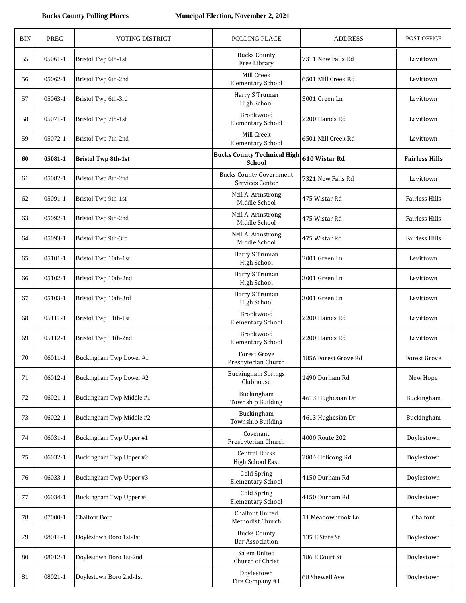| <b>BIN</b> | <b>PREC</b> | <b>VOTING DISTRICT</b>     | POLLING PLACE                                       | <b>ADDRESS</b>       | <b>POST OFFICE</b>    |
|------------|-------------|----------------------------|-----------------------------------------------------|----------------------|-----------------------|
| 55         | 05061-1     | Bristol Twp 6th-1st        | <b>Bucks County</b><br>Free Library                 | 7311 New Falls Rd    | Levittown             |
| 56         | 05062-1     | Bristol Twp 6th-2nd        | Mill Creek<br><b>Elementary School</b>              | 6501 Mill Creek Rd   | Levittown             |
| 57         | 05063-1     | Bristol Twp 6th-3rd        | Harry S Truman<br><b>High School</b>                | 3001 Green Ln        | Levittown             |
| 58         | 05071-1     | Bristol Twp 7th-1st        | Brookwood<br><b>Elementary School</b>               | 2200 Haines Rd       | Levittown             |
| 59         | 05072-1     | Bristol Twp 7th-2nd        | Mill Creek<br><b>Elementary School</b>              | 6501 Mill Creek Rd   | Levittown             |
| 60         | 05081-1     | <b>Bristol Twp 8th-1st</b> | <b>Bucks County Technical High</b><br><b>School</b> | 610 Wistar Rd        | <b>Fairless Hills</b> |
| 61         | 05082-1     | Bristol Twp 8th-2nd        | <b>Bucks County Government</b><br>Services Center   | 7321 New Falls Rd    | Levittown             |
| 62         | 05091-1     | Bristol Twp 9th-1st        | Neil A. Armstrong<br>Middle School                  | 475 Wistar Rd        | <b>Fairless Hills</b> |
| 63         | 05092-1     | Bristol Twp 9th-2nd        | Neil A. Armstrong<br>Middle School                  | 475 Wistar Rd        | <b>Fairless Hills</b> |
| 64         | 05093-1     | Bristol Twp 9th-3rd        | Neil A. Armstrong<br>Middle School                  | 475 Wistar Rd        | <b>Fairless Hills</b> |
| 65         | 05101-1     | Bristol Twp 10th-1st       | Harry S Truman<br>High School                       | 3001 Green Ln        | Levittown             |
| 66         | 05102-1     | Bristol Twp 10th-2nd       | Harry S Truman<br>High School                       | 3001 Green Ln        | Levittown             |
| 67         | 05103-1     | Bristol Twp 10th-3rd       | Harry S Truman<br>High School                       | 3001 Green Ln        | Levittown             |
| 68         | 05111-1     | Bristol Twp 11th-1st       | Brookwood<br><b>Elementary School</b>               | 2200 Haines Rd       | Levittown             |
| 69         | 05112-1     | Bristol Twp 11th-2nd       | Brookwood<br><b>Elementary School</b>               | 2200 Haines Rd       | Levittown             |
| 70         | 06011-1     | Buckingham Twp Lower #1    | Forest Grove<br>Presbyterian Church                 | 1856 Forest Grove Rd | Forest Grove          |
| 71         | 06012-1     | Buckingham Twp Lower #2    | <b>Buckingham Springs</b><br>Clubhouse              | 1490 Durham Rd       | New Hope              |
| 72         | $06021 - 1$ | Buckingham Twp Middle #1   | Buckingham<br><b>Township Building</b>              | 4613 Hughesian Dr    | Buckingham            |
| 73         | 06022-1     | Buckingham Twp Middle #2   | Buckingham<br><b>Township Building</b>              | 4613 Hughesian Dr    | Buckingham            |
| 74         | 06031-1     | Buckingham Twp Upper #1    | Covenant<br>Presbyterian Church                     | 4000 Route 202       | Doylestown            |
| 75         | 06032-1     | Buckingham Twp Upper #2    | Central Bucks<br>High School East                   | 2804 Holicong Rd     | Doylestown            |
| 76         | 06033-1     | Buckingham Twp Upper #3    | <b>Cold Spring</b><br><b>Elementary School</b>      | 4150 Durham Rd       | Doylestown            |
| 77         | 06034-1     | Buckingham Twp Upper #4    | <b>Cold Spring</b><br><b>Elementary School</b>      | 4150 Durham Rd       | Doylestown            |
| 78         | 07000-1     | <b>Chalfont Boro</b>       | Chalfont United<br>Methodist Church                 | 11 Meadowbrook Ln    | Chalfont              |
| 79         | 08011-1     | Doylestown Boro 1st-1st    | <b>Bucks County</b><br><b>Bar Association</b>       | 135 E State St       | Doylestown            |
| 80         | 08012-1     | Doylestown Boro 1st-2nd    | Salem United<br>Church of Christ                    | 186 E Court St       | Doylestown            |
| 81         | 08021-1     | Doylestown Boro 2nd-1st    | Doylestown<br>Fire Company #1                       | 68 Shewell Ave       | Doylestown            |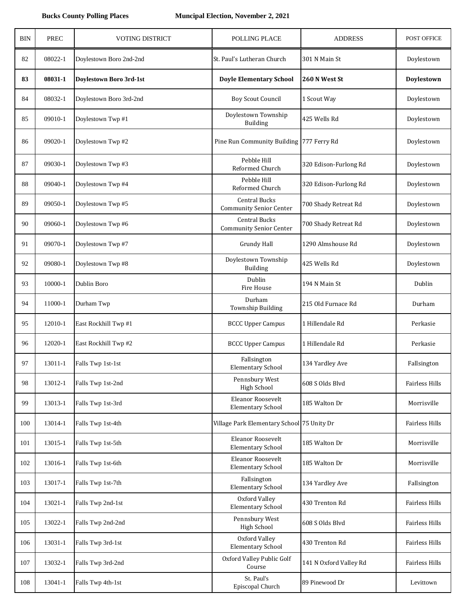| <b>BIN</b> | <b>PREC</b> | VOTING DISTRICT         | POLLING PLACE                                          | <b>ADDRESS</b>         | POST OFFICE           |
|------------|-------------|-------------------------|--------------------------------------------------------|------------------------|-----------------------|
| 82         | 08022-1     | Doylestown Boro 2nd-2nd | St. Paul's Lutheran Church                             | 301 N Main St          | Doylestown            |
| 83         | 08031-1     | Doylestown Boro 3rd-1st | <b>Doyle Elementary School</b>                         | 260 N West St          | Doylestown            |
| 84         | 08032-1     | Doylestown Boro 3rd-2nd | <b>Boy Scout Council</b>                               | 1 Scout Way            | Doylestown            |
| 85         | 09010-1     | Doylestown Twp #1       | Doylestown Township<br><b>Building</b>                 | 425 Wells Rd           | Doylestown            |
| 86         | 09020-1     | Doylestown Twp #2       | Pine Run Community Building 777 Ferry Rd               |                        | Doylestown            |
| 87         | 09030-1     | Doylestown Twp #3       | Pebble Hill<br>Reformed Church                         | 320 Edison-Furlong Rd  | Doylestown            |
| 88         | 09040-1     | Doylestown Twp #4       | Pebble Hill<br>Reformed Church                         | 320 Edison-Furlong Rd  | Doylestown            |
| 89         | 09050-1     | Doylestown Twp #5       | <b>Central Bucks</b><br><b>Community Senior Center</b> | 700 Shady Retreat Rd   | Doylestown            |
| 90         | 09060-1     | Doylestown Twp #6       | Central Bucks<br><b>Community Senior Center</b>        | 700 Shady Retreat Rd   | Doylestown            |
| 91         | 09070-1     | Doylestown Twp #7       | <b>Grundy Hall</b>                                     | 1290 Almshouse Rd      | Doylestown            |
| 92         | 09080-1     | Doylestown Twp #8       | Doylestown Township<br><b>Building</b>                 | 425 Wells Rd           | Doylestown            |
| 93         | 10000-1     | Dublin Boro             | Dublin<br>Fire House                                   | 194 N Main St          | Dublin                |
| 94         | 11000-1     | Durham Twp              | Durham<br><b>Township Building</b>                     | 215 Old Furnace Rd     | Durham                |
| 95         | 12010-1     | East Rockhill Twp #1    | <b>BCCC Upper Campus</b>                               | 1 Hillendale Rd        | Perkasie              |
| 96         | 12020-1     | East Rockhill Twp #2    | <b>BCCC Upper Campus</b>                               | 1 Hillendale Rd        | Perkasie              |
| 97         | 13011-1     | Falls Twp 1st-1st       | Fallsington<br><b>Elementary School</b>                | 134 Yardley Ave        | Fallsington           |
| 98         | 13012-1     | Falls Twp 1st-2nd       | Pennsbury West<br><b>High School</b>                   | 608 S Olds Blvd        | <b>Fairless Hills</b> |
| 99         | 13013-1     | Falls Twp 1st-3rd       | Eleanor Roosevelt<br><b>Elementary School</b>          | 185 Walton Dr          | Morrisville           |
| 100        | 13014-1     | Falls Twp 1st-4th       | Village Park Elementary School 75 Unity Dr             |                        | Fairless Hills        |
| 101        | 13015-1     | Falls Twp 1st-5th       | Eleanor Roosevelt<br><b>Elementary School</b>          | 185 Walton Dr          | Morrisville           |
| 102        | 13016-1     | Falls Twp 1st-6th       | Eleanor Roosevelt<br><b>Elementary School</b>          | 185 Walton Dr          | Morrisville           |
| 103        | 13017-1     | Falls Twp 1st-7th       | Fallsington<br><b>Elementary School</b>                | 134 Yardley Ave        | Fallsington           |
| 104        | 13021-1     | Falls Twp 2nd-1st       | Oxford Valley<br><b>Elementary School</b>              | 430 Trenton Rd         | Fairless Hills        |
| 105        | 13022-1     | Falls Twp 2nd-2nd       | Pennsbury West<br>High School                          | 608 S Olds Blvd        | Fairless Hills        |
| 106        | 13031-1     | Falls Twp 3rd-1st       | Oxford Valley<br><b>Elementary School</b>              | 430 Trenton Rd         | Fairless Hills        |
| 107        | 13032-1     | Falls Twp 3rd-2nd       | Oxford Valley Public Golf<br>Course                    | 141 N Oxford Valley Rd | Fairless Hills        |
| 108        | 13041-1     | Falls Twp 4th-1st       | St. Paul's<br>Episcopal Church                         | 89 Pinewood Dr         | Levittown             |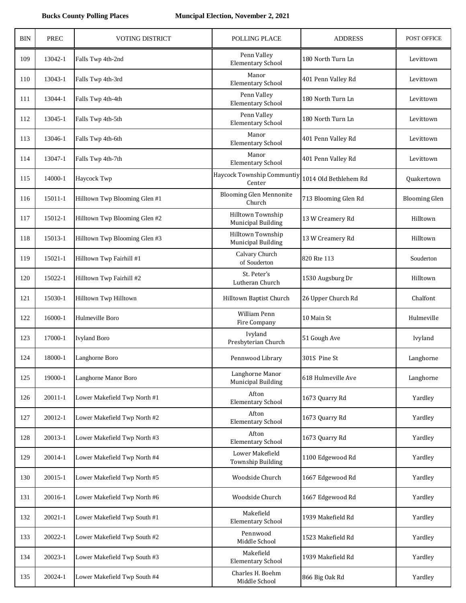| <b>BIN</b> | <b>PREC</b> | <b>VOTING DISTRICT</b>        | POLLING PLACE                            | <b>ADDRESS</b>        | <b>POST OFFICE</b>   |
|------------|-------------|-------------------------------|------------------------------------------|-----------------------|----------------------|
| 109        | 13042-1     | Falls Twp 4th-2nd             | Penn Valley<br><b>Elementary School</b>  | 180 North Turn Ln     | Levittown            |
| 110        | 13043-1     | Falls Twp 4th-3rd             | Manor<br><b>Elementary School</b>        | 401 Penn Valley Rd    | Levittown            |
| 111        | 13044-1     | Falls Twp 4th-4th             | Penn Valley<br><b>Elementary School</b>  | 180 North Turn Ln     | Levittown            |
| 112        | 13045-1     | Falls Twp 4th-5th             | Penn Valley<br><b>Elementary School</b>  | 180 North Turn Ln     | Levittown            |
| 113        | 13046-1     | Falls Twp 4th-6th             | Manor<br><b>Elementary School</b>        | 401 Penn Valley Rd    | Levittown            |
| 114        | 13047-1     | Falls Twp 4th-7th             | Manor<br><b>Elementary School</b>        | 401 Penn Valley Rd    | Levittown            |
| 115        | 14000-1     | Haycock Twp                   | Haycock Township Communtiy<br>Center     | 1014 Old Bethlehem Rd | Quakertown           |
| 116        | 15011-1     | Hilltown Twp Blooming Glen #1 | <b>Blooming Glen Mennonite</b><br>Church | 713 Blooming Glen Rd  | <b>Blooming Glen</b> |
| 117        | 15012-1     | Hilltown Twp Blooming Glen #2 | Hilltown Township<br>Municipal Building  | 13 W Creamery Rd      | Hilltown             |
| 118        | 15013-1     | Hilltown Twp Blooming Glen #3 | Hilltown Township<br>Municipal Building  | 13 W Creamery Rd      | Hilltown             |
| 119        | 15021-1     | Hilltown Twp Fairhill #1      | Calvary Church<br>of Souderton           | 820 Rte 113           | Souderton            |
| 120        | 15022-1     | Hilltown Twp Fairhill #2      | St. Peter's<br>Lutheran Church           | 1530 Augsburg Dr      | Hilltown             |
| 121        | 15030-1     | Hilltown Twp Hilltown         | Hilltown Baptist Church                  | 26 Upper Church Rd    | Chalfont             |
| 122        | 16000-1     | Hulmeville Boro               | William Penn<br>Fire Company             | 10 Main St            | Hulmeville           |
| 123        | 17000-1     | <b>Ivyland Boro</b>           | Ivyland<br>Presbyterian Church           | 51 Gough Ave          | Ivyland              |
| 124        | 18000-1     | Langhorne Boro                | Pennwood Library                         | 301S Pine St          | Langhorne            |
| 125        | 19000-1     | Langhorne Manor Boro          | Langhorne Manor<br>Municipal Building    | 618 Hulmeville Ave    | Langhorne            |
| 126        | $20011 - 1$ | Lower Makefield Twp North #1  | Afton<br><b>Elementary School</b>        | 1673 Quarry Rd        | Yardley              |
| 127        | 20012-1     | Lower Makefield Twp North #2  | Afton<br><b>Elementary School</b>        | 1673 Quarry Rd        | Yardley              |
| 128        | 20013-1     | Lower Makefield Twp North #3  | Afton<br><b>Elementary School</b>        | 1673 Quarry Rd        | Yardley              |
| 129        | 20014-1     | Lower Makefield Twp North #4  | Lower Makefield<br>Township Building     | 1100 Edgewood Rd      | Yardley              |
| 130        | 20015-1     | Lower Makefield Twp North #5  | Woodside Church                          | 1667 Edgewood Rd      | Yardley              |
| 131        | 20016-1     | Lower Makefield Twp North #6  | Woodside Church                          | 1667 Edgewood Rd      | Yardley              |
| 132        | $20021 - 1$ | Lower Makefield Twp South #1  | Makefield<br><b>Elementary School</b>    | 1939 Makefield Rd     | Yardley              |
| 133        | 20022-1     | Lower Makefield Twp South #2  | Pennwood<br>Middle School                | 1523 Makefield Rd     | Yardley              |
| 134        | 20023-1     | Lower Makefield Twp South #3  | Makefield<br><b>Elementary School</b>    | 1939 Makefield Rd     | Yardley              |
| 135        | 20024-1     | Lower Makefield Twp South #4  | Charles H. Boehm<br>Middle School        | 866 Big Oak Rd        | Yardley              |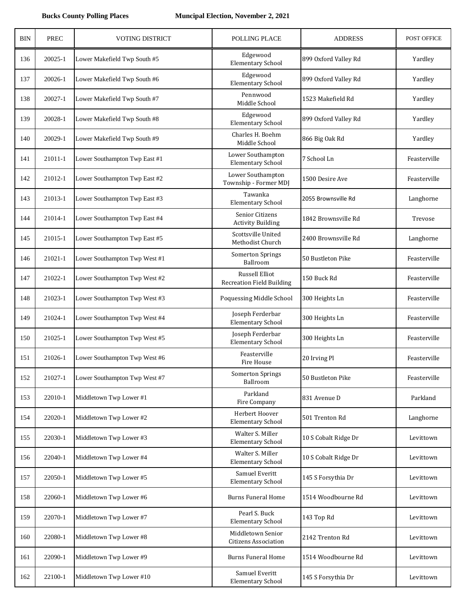| <b>BIN</b> | <b>PREC</b> | <b>VOTING DISTRICT</b>        | POLLING PLACE                                      | <b>ADDRESS</b>       | POST OFFICE  |
|------------|-------------|-------------------------------|----------------------------------------------------|----------------------|--------------|
| 136        | 20025-1     | Lower Makefield Twp South #5  | Edgewood<br><b>Elementary School</b>               | 899 Oxford Valley Rd | Yardley      |
| 137        | 20026-1     | Lower Makefield Twp South #6  | Edgewood<br><b>Elementary School</b>               | 899 Oxford Valley Rd | Yardley      |
| 138        | 20027-1     | Lower Makefield Twp South #7  | Pennwood<br>Middle School                          | 1523 Makefield Rd    | Yardley      |
| 139        | 20028-1     | Lower Makefield Twp South #8  | Edgewood<br><b>Elementary School</b>               | 899 Oxford Valley Rd | Yardley      |
| 140        | 20029-1     | Lower Makefield Twp South #9  | Charles H. Boehm<br>Middle School                  | 866 Big Oak Rd       | Yardley      |
| 141        | 21011-1     | Lower Southampton Twp East #1 | Lower Southampton<br><b>Elementary School</b>      | 7 School Ln          | Feasterville |
| 142        | 21012-1     | Lower Southampton Twp East #2 | Lower Southampton<br>Township - Former MDJ         | 1500 Desire Ave      | Feasterville |
| 143        | 21013-1     | Lower Southampton Twp East #3 | Tawanka<br><b>Elementary School</b>                | 2055 Brownsville Rd  | Langhorne    |
| 144        | 21014-1     | Lower Southampton Twp East #4 | Senior Citizens<br><b>Activity Building</b>        | 1842 Brownsville Rd  | Trevose      |
| 145        | 21015-1     | Lower Southampton Twp East #5 | Scottsville United<br>Methodist Church             | 2400 Brownsville Rd  | Langhorne    |
| 146        | 21021-1     | Lower Southampton Twp West #1 | <b>Somerton Springs</b><br>Ballroom                | 50 Bustleton Pike    | Feasterville |
| 147        | 21022-1     | Lower Southampton Twp West #2 | Russell Elliot<br><b>Recreation Field Building</b> | 150 Buck Rd          | Feasterville |
| 148        | 21023-1     | Lower Southampton Twp West #3 | Poquessing Middle School                           | 300 Heights Ln       | Feasterville |
| 149        | 21024-1     | Lower Southampton Twp West #4 | Joseph Ferderbar<br><b>Elementary School</b>       | 300 Heights Ln       | Feasterville |
| 150        | 21025-1     | Lower Southampton Twp West #5 | Joseph Ferderbar<br><b>Elementary School</b>       | 300 Heights Ln       | Feasterville |
| 151        | 21026-1     | Lower Southampton Twp West #6 | Feasterville<br>Fire House                         | 20 Irving Pl         | Feasterville |
| 152        | 21027-1     | Lower Southampton Twp West #7 | <b>Somerton Springs</b><br>Ballroom                | 50 Bustleton Pike    | Feasterville |
| 153        | 22010-1     | Middletown Twp Lower #1       | Parkland<br>Fire Company                           | 831 Avenue D         | Parkland     |
| 154        | 22020-1     | Middletown Twp Lower #2       | Herbert Hoover<br><b>Elementary School</b>         | 501 Trenton Rd       | Langhorne    |
| 155        | 22030-1     | Middletown Twp Lower #3       | Walter S. Miller<br><b>Elementary School</b>       | 10 S Cobalt Ridge Dr | Levittown    |
| 156        | 22040-1     | Middletown Twp Lower #4       | Walter S. Miller<br><b>Elementary School</b>       | 10 S Cobalt Ridge Dr | Levittown    |
| 157        | 22050-1     | Middletown Twp Lower #5       | Samuel Everitt<br><b>Elementary School</b>         | 145 S Forsythia Dr   | Levittown    |
| 158        | 22060-1     | Middletown Twp Lower #6       | <b>Burns Funeral Home</b>                          | 1514 Woodbourne Rd   | Levittown    |
| 159        | 22070-1     | Middletown Twp Lower #7       | Pearl S. Buck<br><b>Elementary School</b>          | 143 Top Rd           | Levittown    |
| 160        | 22080-1     | Middletown Twp Lower #8       | Middletown Senior<br><b>Citizens Association</b>   | 2142 Trenton Rd      | Levittown    |
| 161        | 22090-1     | Middletown Twp Lower #9       | <b>Burns Funeral Home</b>                          | 1514 Woodbourne Rd   | Levittown    |
| 162        | 22100-1     | Middletown Twp Lower #10      | Samuel Everitt<br><b>Elementary School</b>         | 145 S Forsythia Dr   | Levittown    |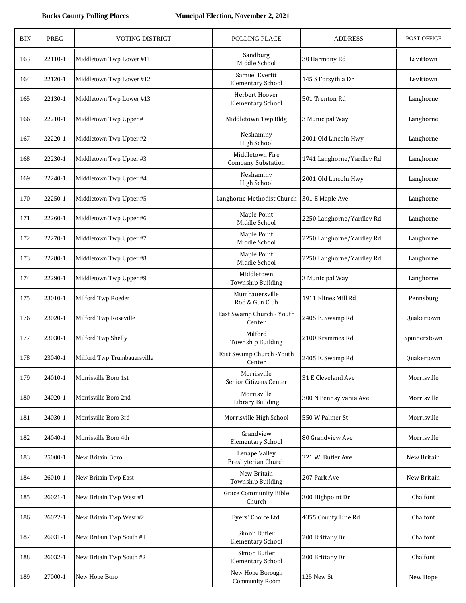| <b>BIN</b> | <b>PREC</b> | <b>VOTING DISTRICT</b>      | POLLING PLACE                                | <b>ADDRESS</b>            | POST OFFICE  |
|------------|-------------|-----------------------------|----------------------------------------------|---------------------------|--------------|
| 163        | 22110-1     | Middletown Twp Lower #11    | Sandburg<br>Middle School                    | 30 Harmony Rd             | Levittown    |
| 164        | 22120-1     | Middletown Twp Lower #12    | Samuel Everitt<br><b>Elementary School</b>   | 145 S Forsythia Dr        | Levittown    |
| 165        | 22130-1     | Middletown Twp Lower #13    | Herbert Hoover<br><b>Elementary School</b>   | 501 Trenton Rd            | Langhorne    |
| 166        | 22210-1     | Middletown Twp Upper #1     | Middletown Twp Bldg                          | 3 Municipal Way           | Langhorne    |
| 167        | 22220-1     | Middletown Twp Upper #2     | Neshaminy<br><b>High School</b>              | 2001 Old Lincoln Hwy      | Langhorne    |
| 168        | 22230-1     | Middletown Twp Upper #3     | Middletown Fire<br><b>Company Substation</b> | 1741 Langhorne/Yardley Rd | Langhorne    |
| 169        | 22240-1     | Middletown Twp Upper #4     | Neshaminy<br><b>High School</b>              | 2001 Old Lincoln Hwy      | Langhorne    |
| 170        | 22250-1     | Middletown Twp Upper #5     | Langhorne Methodist Church                   | 301 E Maple Ave           | Langhorne    |
| 171        | 22260-1     | Middletown Twp Upper #6     | Maple Point<br>Middle School                 | 2250 Langhorne/Yardley Rd | Langhorne    |
| 172        | 22270-1     | Middletown Twp Upper #7     | Maple Point<br>Middle School                 | 2250 Langhorne/Yardley Rd | Langhorne    |
| 173        | 22280-1     | Middletown Twp Upper #8     | Maple Point<br>Middle School                 | 2250 Langhorne/Yardley Rd | Langhorne    |
| 174        | 22290-1     | Middletown Twp Upper #9     | Middletown<br>Township Building              | 3 Municipal Way           | Langhorne    |
| 175        | 23010-1     | Milford Twp Roeder          | Mumbauersville<br>Rod & Gun Club             | 1911 Klines Mill Rd       | Pennsburg    |
| 176        | 23020-1     | Milford Twp Roseville       | East Swamp Church - Youth<br>Center          | 2405 E. Swamp Rd          | Quakertown   |
| 177        | 23030-1     | Milford Twp Shelly          | Milford<br>Township Building                 | 2100 Krammes Rd           | Spinnerstown |
| 178        | 23040-1     | Milford Twp Trumbauersville | East Swamp Church - Youth<br>Center          | 2405 E. Swamp Rd          | Quakertown   |
| 179        | 24010-1     | Morrisville Boro 1st        | Morrisville<br>Senior Citizens Center        | 31 E Cleveland Ave        | Morrisville  |
| 180        | 24020-1     | Morrisville Boro 2nd        | Morrisville<br>Library Building              | 300 N Pennsylvania Ave    | Morrisville  |
| 181        | 24030-1     | Morrisville Boro 3rd        | Morrisville High School                      | 550 W Palmer St           | Morrisville  |
| 182        | 24040-1     | Morrisville Boro 4th        | Grandview<br><b>Elementary School</b>        | 80 Grandview Ave          | Morrisville  |
| 183        | 25000-1     | New Britain Boro            | Lenape Valley<br>Presbyterian Church         | 321 W Butler Ave          | New Britain  |
| 184        | 26010-1     | New Britain Twp East        | New Britain<br>Township Building             | 207 Park Ave              | New Britain  |
| 185        | 26021-1     | New Britain Twp West #1     | <b>Grace Community Bible</b><br>Church       | 300 Highpoint Dr          | Chalfont     |
| 186        | 26022-1     | New Britain Twp West #2     | Byers' Choice Ltd.                           | 4355 County Line Rd       | Chalfont     |
| 187        | 26031-1     | New Britain Twp South #1    | Simon Butler<br><b>Elementary School</b>     | 200 Brittany Dr           | Chalfont     |
| 188        | 26032-1     | New Britain Twp South #2    | Simon Butler<br><b>Elementary School</b>     | 200 Brittany Dr           | Chalfont     |
| 189        | 27000-1     | New Hope Boro               | New Hope Borough<br><b>Community Room</b>    | 125 New St                | New Hope     |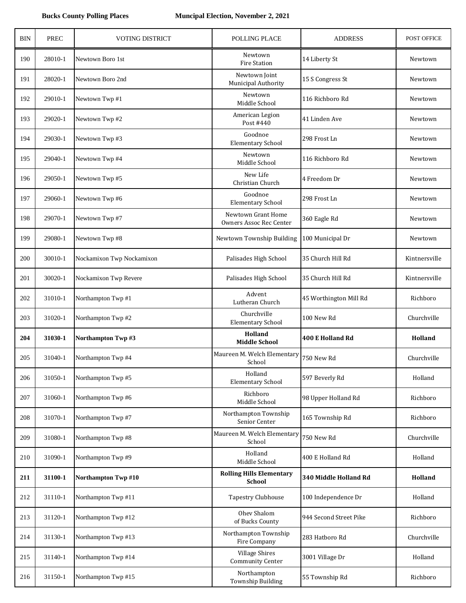| <b>BIN</b> | <b>PREC</b> | <b>VOTING DISTRICT</b>    | POLLING PLACE                                    | <b>ADDRESS</b>          | POST OFFICE   |
|------------|-------------|---------------------------|--------------------------------------------------|-------------------------|---------------|
| 190        | 28010-1     | Newtown Boro 1st          | Newtown<br><b>Fire Station</b>                   | 14 Liberty St           | Newtown       |
| 191        | 28020-1     | Newtown Boro 2nd          | Newtown Joint<br>Municipal Authority             | 15 S Congress St        | Newtown       |
| 192        | 29010-1     | Newtown Twp #1            | Newtown<br>Middle School                         | 116 Richboro Rd         | Newtown       |
| 193        | 29020-1     | Newtown Twp #2            | American Legion<br>Post #440                     | 41 Linden Ave           | Newtown       |
| 194        | 29030-1     | Newtown Twp #3            | Goodnoe<br><b>Elementary School</b>              | 298 Frost Ln            | Newtown       |
| 195        | 29040-1     | Newtown Twp #4            | Newtown<br>Middle School                         | 116 Richboro Rd         | Newtown       |
| 196        | 29050-1     | Newtown Twp #5            | New Life<br>Christian Church                     | 4 Freedom Dr            | Newtown       |
| 197        | 29060-1     | Newtown Twp #6            | Goodnoe<br><b>Elementary School</b>              | 298 Frost Ln            | Newtown       |
| 198        | 29070-1     | Newtown Twp #7            | Newtown Grant Home<br>Owners Assoc Rec Center    | 360 Eagle Rd            | Newtown       |
| 199        | 29080-1     | Newtown Twp #8            | Newtown Township Building                        | 100 Municipal Dr        | Newtown       |
| 200        | 30010-1     | Nockamixon Twp Nockamixon | Palisades High School                            | 35 Church Hill Rd       | Kintnersville |
| 201        | 30020-1     | Nockamixon Twp Revere     | Palisades High School                            | 35 Church Hill Rd       | Kintnersville |
| 202        | 31010-1     | Northampton Twp #1        | Advent<br>Lutheran Church                        | 45 Worthington Mill Rd  | Richboro      |
| 203        | 31020-1     | Northampton Twp #2        | Churchville<br><b>Elementary School</b>          | 100 New Rd              | Churchville   |
| 204        | 31030-1     | Northampton Twp#3         | Holland<br><b>Middle School</b>                  | <b>400 E Holland Rd</b> | Holland       |
| 205        | 31040-1     | Northampton Twp #4        | Maureen M. Welch Elementary<br>School            | 750 New Rd              | Churchville   |
| 206        | 31050-1     | Northampton Twp #5        | Holland<br><b>Elementary School</b>              | 597 Beverly Rd          | Holland       |
| 207        | 31060-1     | Northampton Twp #6        | Richboro<br>Middle School                        | 98 Upper Holland Rd     | Richboro      |
| 208        | 31070-1     | Northampton Twp #7        | Northampton Township<br>Senior Center            | 165 Township Rd         | Richboro      |
| 209        | 31080-1     | Northampton Twp #8        | Maureen M. Welch Elementary<br>School            | 750 New Rd              | Churchville   |
| 210        | 31090-1     | Northampton Twp #9        | Holland<br>Middle School                         | 400 E Holland Rd        | Holland       |
| 211        | 31100-1     | Northampton Twp #10       | <b>Rolling Hills Elementary</b><br><b>School</b> | 340 Middle Holland Rd   | Holland       |
| 212        | 31110-1     | Northampton Twp #11       | <b>Tapestry Clubhouse</b>                        | 100 Independence Dr     | Holland       |
| 213        | 31120-1     | Northampton Twp #12       | Ohev Shalom<br>of Bucks County                   | 944 Second Street Pike  | Richboro      |
| 214        | 31130-1     | Northampton Twp #13       | Northampton Township<br>Fire Company             | 283 Hatboro Rd          | Churchville   |
| 215        | 31140-1     | Northampton Twp #14       | <b>Village Shires</b><br><b>Community Center</b> | 3001 Village Dr         | Holland       |
| 216        | 31150-1     | Northampton Twp #15       | Northampton<br><b>Township Building</b>          | 55 Township Rd          | Richboro      |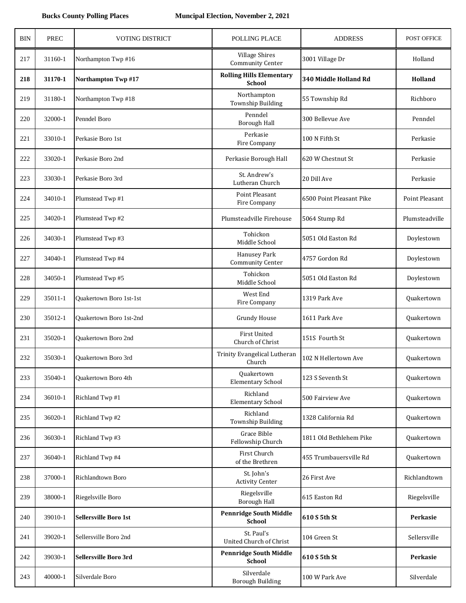| <b>BIN</b> | <b>PREC</b> | <b>VOTING DISTRICT</b>       | POLLING PLACE                                    | <b>ADDRESS</b>           | <b>POST OFFICE</b> |
|------------|-------------|------------------------------|--------------------------------------------------|--------------------------|--------------------|
| 217        | 31160-1     | Northampton Twp #16          | <b>Village Shires</b><br><b>Community Center</b> | 3001 Village Dr          | Holland            |
| 218        | 31170-1     | <b>Northampton Twp#17</b>    | <b>Rolling Hills Elementary</b><br><b>School</b> | 340 Middle Holland Rd    | Holland            |
| 219        | 31180-1     | Northampton Twp #18          | Northampton<br>Township Building                 | 55 Township Rd           | Richboro           |
| 220        | 32000-1     | Penndel Boro                 | Penndel<br>Borough Hall                          | 300 Bellevue Ave         | Penndel            |
| 221        | 33010-1     | Perkasie Boro 1st            | Perkasie<br>Fire Company                         | 100 N Fifth St           | Perkasie           |
| 222        | 33020-1     | Perkasie Boro 2nd            | Perkasie Borough Hall                            | 620 W Chestnut St        | Perkasie           |
| 223        | 33030-1     | Perkasie Boro 3rd            | St. Andrew's<br>Lutheran Church                  | 20 Dill Ave              | Perkasie           |
| 224        | 34010-1     | Plumstead Twp #1             | Point Pleasant<br>Fire Company                   | 6500 Point Pleasant Pike | Point Pleasant     |
| 225        | 34020-1     | Plumstead Twp #2             | Plumsteadville Firehouse                         | 5064 Stump Rd            | Plumsteadville     |
| 226        | 34030-1     | Plumstead Twp #3             | Tohickon<br>Middle School                        | 5051 Old Easton Rd       | Doylestown         |
| 227        | 34040-1     | Plumstead Twp #4             | <b>Hanusey Park</b><br><b>Community Center</b>   | 4757 Gordon Rd           | Doylestown         |
| 228        | 34050-1     | Plumstead Twp #5             | Tohickon<br>Middle School                        | 5051 Old Easton Rd       | Doylestown         |
| 229        | 35011-1     | Quakertown Boro 1st-1st      | West End<br>Fire Company                         | 1319 Park Ave            | Quakertown         |
| 230        | 35012-1     | Quakertown Boro 1st-2nd      | <b>Grundy House</b>                              | 1611 Park Ave            | Quakertown         |
| 231        | 35020-1     | <b>Ouakertown Boro 2nd</b>   | <b>First United</b><br>Church of Christ          | 151S Fourth St           | Quakertown         |
| 232        | 35030-1     | Quakertown Boro 3rd          | Trinity Evangelical Lutheran<br>Church           | 102 N Hellertown Ave     | Quakertown         |
| 233        | 35040-1     | Quakertown Boro 4th          | Quakertown<br><b>Elementary School</b>           | 123 S Seventh St         | Quakertown         |
| 234        | 36010-1     | Richland Twp #1              | Richland<br><b>Elementary School</b>             | 500 Fairview Ave         | Quakertown         |
| 235        | 36020-1     | Richland Twp #2              | Richland<br>Township Building                    | 1328 California Rd       | Quakertown         |
| 236        | 36030-1     | Richland Twp #3              | Grace Bible<br>Fellowship Church                 | 1811 Old Bethlehem Pike  | Quakertown         |
| 237        | 36040-1     | Richland Twp #4              | First Church<br>of the Brethren                  | 455 Trumbauersville Rd   | Quakertown         |
| 238        | 37000-1     | Richlandtown Boro            | St. John's<br><b>Activity Center</b>             | 26 First Ave             | Richlandtown       |
| 239        | 38000-1     | Riegelsville Boro            | Riegelsville<br>Borough Hall                     | 615 Easton Rd            | Riegelsville       |
| 240        | 39010-1     | <b>Sellersville Boro 1st</b> | <b>Pennridge South Middle</b><br><b>School</b>   | 610 S 5th St             | Perkasie           |
| 241        | 39020-1     | Sellersville Boro 2nd        | St. Paul's<br>United Church of Christ            | 104 Green St             | Sellersville       |
| 242        | 39030-1     | Sellersville Boro 3rd        | <b>Pennridge South Middle</b><br><b>School</b>   | 610 S 5th St             | Perkasie           |
| 243        | 40000-1     | Silverdale Boro              | Silverdale<br><b>Borough Building</b>            | 100 W Park Ave           | Silverdale         |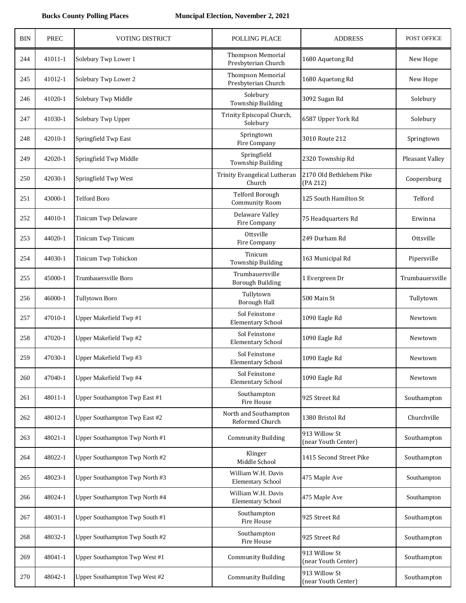| BIN | <b>PREC</b> | <b>VOTING DISTRICT</b>         | POLLING PLACE                                   | <b>ADDRESS</b>                       | POST OFFICE     |
|-----|-------------|--------------------------------|-------------------------------------------------|--------------------------------------|-----------------|
| 244 | 41011-1     | Solebury Twp Lower 1           | <b>Thompson Memorial</b><br>Presbyterian Church | 1680 Aquetong Rd                     | New Hope        |
| 245 | 41012-1     | Solebury Twp Lower 2           | <b>Thompson Memorial</b><br>Presbyterian Church | 1680 Aquetong Rd                     | New Hope        |
| 246 | 41020-1     | Solebury Twp Middle            | Solebury<br><b>Township Building</b>            | 3092 Sugan Rd                        | Solebury        |
| 247 | 41030-1     | Solebury Twp Upper             | Trinity Episcopal Church,<br>Solebury           | 6587 Upper York Rd                   | Solebury        |
| 248 | 42010-1     | Springfield Twp East           | Springtown<br>Fire Company                      | 3010 Route 212                       | Springtown      |
| 249 | 42020-1     | Springfield Twp Middle         | Springfield<br><b>Township Building</b>         | 2320 Township Rd                     | Pleasant Valley |
| 250 | 42030-1     | Springfield Twp West           | Trinity Evangelical Lutheran<br>Church          | 2170 Old Bethlehem Pike<br>(PA 212)  | Coopersburg     |
| 251 | 43000-1     | <b>Telford Boro</b>            | <b>Telford Borough</b><br>Community Room        | 125 South Hamilton St                | Telford         |
| 252 | 44010-1     | Tinicum Twp Delaware           | Delaware Valley<br>Fire Company                 | 75 Headquarters Rd                   | Erwinna         |
| 253 | 44020-1     | Tinicum Twp Tinicum            | Ottsville<br>Fire Company                       | 249 Durham Rd                        | Ottsville       |
| 254 | 44030-1     | Tinicum Twp Tohickon           | Tinicum<br>Township Building                    | 163 Municipal Rd                     | Pipersville     |
| 255 | 45000-1     | Trumbauersville Boro           | Trumbauersville<br><b>Borough Building</b>      | 1 Evergreen Dr                       | Trumbauersville |
| 256 | 46000-1     | <b>Tullytown Boro</b>          | Tullytown<br><b>Borough Hall</b>                | 500 Main St                          | Tullytown       |
| 257 | 47010-1     | Upper Makefield Twp #1         | Sol Feinstone<br><b>Elementary School</b>       | 1090 Eagle Rd                        | Newtown         |
| 258 | 47020-1     | Upper Makefield Twp #2         | Sol Feinstone<br><b>Elementary School</b>       | 1090 Eagle Rd                        | Newtown         |
| 259 | 47030-1     | Upper Makefield Twp #3         | Sol Feinstone<br><b>Elementary School</b>       | 1090 Eagle Rd                        | Newtown         |
| 260 | 47040-1     | Upper Makefield Twp #4         | Sol Feinstone<br><b>Elementary School</b>       | 1090 Eagle Rd                        | Newtown         |
| 261 | 48011-1     | Upper Southampton Twp East #1  | Southampton<br>Fire House                       | 925 Street Rd                        | Southampton     |
| 262 | 48012-1     | Upper Southampton Twp East #2  | North and Southampton<br>Reformed Church        | 1380 Bristol Rd                      | Churchville     |
| 263 | 48021-1     | Upper Southampton Twp North #1 | <b>Community Building</b>                       | 913 Willow St<br>(near Youth Center) | Southampton     |
| 264 | 48022-1     | Upper Southampton Twp North #2 | Klinger<br>Middle School                        | 1415 Second Street Pike              | Southampton     |
| 265 | 48023-1     | Upper Southampton Twp North #3 | William W.H. Davis<br>Elementary School         | 475 Maple Ave                        | Southampton     |
| 266 | 48024-1     | Upper Southampton Twp North #4 | William W.H. Davis<br><b>Elementary School</b>  | 475 Maple Ave                        | Southampton     |
| 267 | 48031-1     | Upper Southampton Twp South #1 | Southampton<br>Fire House                       | 925 Street Rd                        | Southampton     |
| 268 | 48032-1     | Upper Southampton Twp South #2 | Southampton<br>Fire House                       | 925 Street Rd                        | Southampton     |
| 269 | 48041-1     | Upper Southampton Twp West #1  | <b>Community Building</b>                       | 913 Willow St<br>(near Youth Center) | Southampton     |
| 270 | 48042-1     | Upper Southampton Twp West #2  | <b>Community Building</b>                       | 913 Willow St<br>(near Youth Center) | Southampton     |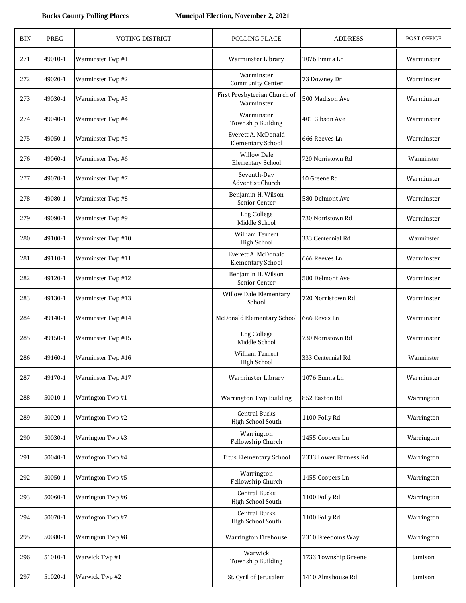| <b>BIN</b> | <b>PREC</b> | <b>VOTING DISTRICT</b> | POLLING PLACE                                   | <b>ADDRESS</b>        | POST OFFICE |
|------------|-------------|------------------------|-------------------------------------------------|-----------------------|-------------|
| 271        | 49010-1     | Warminster Twp #1      | Warminster Library                              | 1076 Emma Ln          | Warminster  |
| 272        | 49020-1     | Warminster Twp #2      | Warminster<br><b>Community Center</b>           | 73 Downey Dr          | Warminster  |
| 273        | 49030-1     | Warminster Twp #3      | First Presbyterian Church of<br>Warminster      | 500 Madison Ave       | Warminster  |
| 274        | 49040-1     | Warminster Twp #4      | Warminster<br>Township Building                 | 401 Gibson Ave        | Warminster  |
| 275        | 49050-1     | Warminster Twp #5      | Everett A. McDonald<br><b>Elementary School</b> | 666 Reeves Ln         | Warminster  |
| 276        | 49060-1     | Warminster Twp #6      | <b>Willow Dale</b><br><b>Elementary School</b>  | 720 Norristown Rd     | Warminster  |
| 277        | 49070-1     | Warminster Twp #7      | Seventh-Day<br><b>Adventist Church</b>          | 10 Greene Rd          | Warminster  |
| 278        | 49080-1     | Warminster Twp #8      | Benjamin H. Wilson<br>Senior Center             | 580 Delmont Ave       | Warminster  |
| 279        | 49090-1     | Warminster Twp #9      | Log College<br>Middle School                    | 730 Norristown Rd     | Warminster  |
| 280        | 49100-1     | Warminster Twp #10     | William Tennent<br><b>High School</b>           | 333 Centennial Rd     | Warminster  |
| 281        | 49110-1     | Warminster Twp #11     | Everett A. McDonald<br><b>Elementary School</b> | 666 Reeves Ln         | Warminster  |
| 282        | 49120-1     | Warminster Twp #12     | Benjamin H. Wilson<br>Senior Center             | 580 Delmont Ave       | Warminster  |
| 283        | 49130-1     | Warminster Twp #13     | Willow Dale Elementary<br>School                | 720 Norristown Rd     | Warminster  |
| 284        | 49140-1     | Warminster Twp #14     | McDonald Elementary School                      | 666 Reves Ln          | Warminster  |
| 285        | 49150-1     | Warminster Twp #15     | Log College<br>Middle School                    | 730 Norristown Rd     | Warminster  |
| 286        | 49160-1     | Warminster Twp #16     | <b>William Tennent</b><br>High School           | 333 Centennial Rd     | Warminster  |
| 287        | 49170-1     | Warminster Twp #17     | Warminster Library                              | 1076 Emma Ln          | Warminster  |
| 288        | 50010-1     | Warrington Twp #1      | Warrington Twp Building                         | 852 Easton Rd         | Warrington  |
| 289        | 50020-1     | Warrington Twp #2      | <b>Central Bucks</b><br>High School South       | 1100 Folly Rd         | Warrington  |
| 290        | 50030-1     | Warrington Twp #3      | Warrington<br>Fellowship Church                 | 1455 Coopers Ln       | Warrington  |
| 291        | 50040-1     | Warrington Twp #4      | <b>Titus Elementary School</b>                  | 2333 Lower Barness Rd | Warrington  |
| 292        | 50050-1     | Warrington Twp #5      | Warrington<br>Fellowship Church                 | 1455 Coopers Ln       | Warrington  |
| 293        | 50060-1     | Warrington Twp #6      | <b>Central Bucks</b><br>High School South       | 1100 Folly Rd         | Warrington  |
| 294        | 50070-1     | Warrington Twp #7      | Central Bucks<br>High School South              | 1100 Folly Rd         | Warrington  |
| 295        | 50080-1     | Warrington Twp #8      | <b>Warrington Firehouse</b>                     | 2310 Freedoms Way     | Warrington  |
| 296        | 51010-1     | Warwick Twp #1         | Warwick<br>Township Building                    | 1733 Township Greene  | Jamison     |
| 297        | 51020-1     | Warwick Twp #2         | St. Cyril of Jerusalem                          | 1410 Almshouse Rd     | Jamison     |